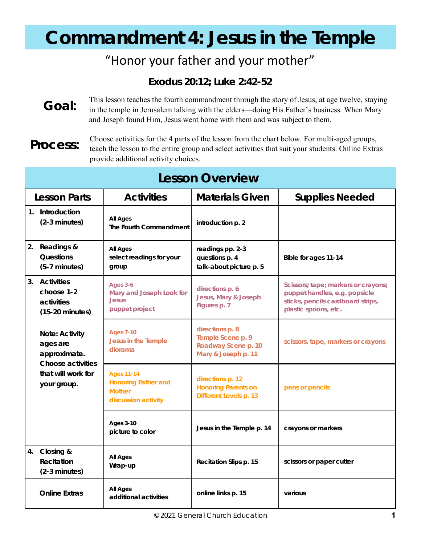# **Commandment 4: Jesus in the Temple**

### "Honor your father and your mother"

**Exodus 20:12; Luke 2:42-52** 

**Goal:**  This lesson teaches the fourth commandment through the story of Jesus, at age twelve, staying in the temple in Jerusalem talking with the elders—doing His Father's business. When Mary and Joseph found Him, Jesus went home with them and was subject to them.

**Process:**

Choose activities for the 4 parts of the lesson from the chart below. For multi-aged groups, teach the lesson to the entire group and select activities that suit your students. Online Extras provide additional activity choices.

| <b>Lesson Overview</b> |                                                                                                      |                                                                                  |                                                                                    |                                                                                                                                   |  |
|------------------------|------------------------------------------------------------------------------------------------------|----------------------------------------------------------------------------------|------------------------------------------------------------------------------------|-----------------------------------------------------------------------------------------------------------------------------------|--|
|                        | Lesson Parts                                                                                         | <b>Activities</b>                                                                | <b>Materials Given</b>                                                             | <b>Supplies Needed</b>                                                                                                            |  |
|                        | 1. Introduction<br>$(2-3$ minutes)                                                                   | All Ages<br>The Fourth Commandment                                               | introduction p. 2                                                                  |                                                                                                                                   |  |
| 2.                     | Readings &<br>Questions<br>$(5-7$ minutes)                                                           | All Ages<br>select readings for your<br>group                                    | readings pp. 2-3<br>questions p. 4<br>talk-about picture p. 5                      | Bible for ages 11-14                                                                                                              |  |
| 3.                     | Activities<br>choose 1-2<br>activities<br>$(15-20 \text{ minutes})$                                  | Ages 3-6<br>Mary and Joseph Look for<br><b>Jesus</b><br>puppet project           | directions p. 6<br>Jesus, Mary & Joseph<br>Figures p. 7                            | Scissors; tape; markers or crayons;<br>puppet handles, e.g. popsicle<br>sticks, pencils cardboard strips,<br>plastic spoons, etc. |  |
|                        | Note: Activity<br>ages are<br>approximate.<br>Choose activities<br>that will work for<br>your group. | <b>Ages 7-10</b><br>Jesus in the Temple<br>diorama                               | directions p. 8<br>Temple Scene p. 9<br>Roadway Scene p. 10<br>Mary & Joseph p. 11 | scissors, tape, markers or crayons                                                                                                |  |
|                        |                                                                                                      | <b>Ages 11-14</b><br>Honoring Father and<br><b>Mother</b><br>discussion activity | directions p. 12<br>Honoring Parents on<br>Different Levels p. 13                  | pens or pencils                                                                                                                   |  |
|                        |                                                                                                      | Ages 3-10<br>picture to color                                                    | Jesus in the Temple p. 14                                                          | crayons or markers                                                                                                                |  |
| 4.                     | Closing &<br>Recitation<br>$(2-3$ minutes)                                                           | All Ages<br>Wrap-up                                                              | Recitation Slips p. 15                                                             | scissors or paper cutter                                                                                                          |  |
|                        | <b>Online Extras</b>                                                                                 | All Ages<br>additional activities                                                | online links p. 15                                                                 | various                                                                                                                           |  |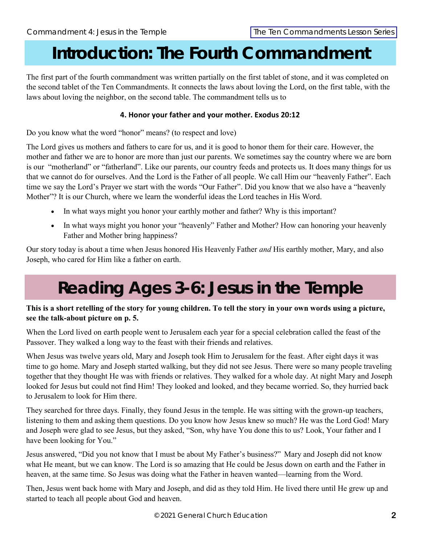### **Introduction: The Fourth Commandment**

The first part of the fourth commandment was written partially on the first tablet of stone, and it was completed on the second tablet of the Ten Commandments. It connects the laws about loving the Lord, on the first table, with the laws about loving the neighbor, on the second table. The commandment tells us to

### **4. Honor your father and your mother. Exodus 20:12**

Do you know what the word "honor" means? (to respect and love)

The Lord gives us mothers and fathers to care for us, and it is good to honor them for their care. However, the mother and father we are to honor are more than just our parents. We sometimes say the country where we are born is our "motherland" or "fatherland". Like our parents, our country feeds and protects us. It does many things for us that we cannot do for ourselves. And the Lord is the Father of all people. We call Him our "heavenly Father". Each time we say the Lord's Prayer we start with the words "Our Father". Did you know that we also have a "heavenly Mother"? It is our Church, where we learn the wonderful ideas the Lord teaches in His Word.

- In what ways might you honor your earthly mother and father? Why is this important?
- In what ways might you honor your "heavenly" Father and Mother? How can honoring your heavenly Father and Mother bring happiness?

Our story today is about a time when Jesus honored His Heavenly Father *and* His earthly mother, Mary, and also Joseph, who cared for Him like a father on earth.

## **Reading Ages 3-6: Jesus in the Temple**

### **This is a short retelling of the story for young children. To tell the story in your own words using a picture, see the talk-about picture on p. 5.**

When the Lord lived on earth people went to Jerusalem each year for a special celebration called the feast of the Passover. They walked a long way to the feast with their friends and relatives.

When Jesus was twelve years old, Mary and Joseph took Him to Jerusalem for the feast. After eight days it was time to go home. Mary and Joseph started walking, but they did not see Jesus. There were so many people traveling together that they thought He was with friends or relatives. They walked for a whole day. At night Mary and Joseph looked for Jesus but could not find Him! They looked and looked, and they became worried. So, they hurried back to Jerusalem to look for Him there.

They searched for three days. Finally, they found Jesus in the temple. He was sitting with the grown-up teachers, listening to them and asking them questions. Do you know how Jesus knew so much? He was the Lord God! Mary and Joseph were glad to see Jesus, but they asked, "Son, why have You done this to us? Look, Your father and I have been looking for You."

Jesus answered, "Did you not know that I must be about My Father's business?" Mary and Joseph did not know what He meant, but we can know. The Lord is so amazing that He could be Jesus down on earth and the Father in heaven, at the same time. So Jesus was doing what the Father in heaven wanted—learning from the Word.

Then, Jesus went back home with Mary and Joseph, and did as they told Him. He lived there until He grew up and started to teach all people about God and heaven.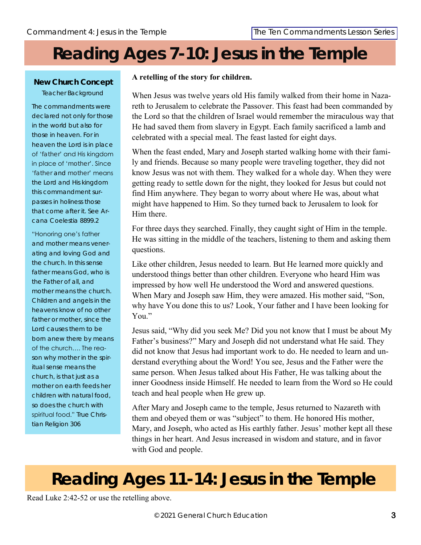## **Reading Ages 7-10: Jesus in the Temple**

### **New Church Concept** Teacher Background

The commandments were declared not only for those in the world but also for those in heaven. For in heaven the Lord is in place of 'father' and His kingdom in place of 'mother'. Since 'father and mother' means the Lord and His kingdom this commandment surpasses in holiness those that come after it. See *Arcana Coelestia* 8899.2

### "Honoring one's father and mother means venerating and loving God and the church. In this sense father means God, who is the Father of all, and mother means the church. Children and angels in the heavens know of no other father or mother, since the Lord causes them to be born anew there by means of the church…. The reason why mother in the spiritual sense means the church, is that just as a mother on earth feeds her children with natural food, so does the church with spiritual food." *True Christian Religion* 306

### **A retelling of the story for children.**

When Jesus was twelve years old His family walked from their home in Nazareth to Jerusalem to celebrate the Passover. This feast had been commanded by the Lord so that the children of Israel would remember the miraculous way that He had saved them from slavery in Egypt. Each family sacrificed a lamb and celebrated with a special meal. The feast lasted for eight days.

When the feast ended, Mary and Joseph started walking home with their family and friends. Because so many people were traveling together, they did not know Jesus was not with them. They walked for a whole day. When they were getting ready to settle down for the night, they looked for Jesus but could not find Him anywhere. They began to worry about where He was, about what might have happened to Him. So they turned back to Jerusalem to look for Him there.

For three days they searched. Finally, they caught sight of Him in the temple. He was sitting in the middle of the teachers, listening to them and asking them questions.

Like other children, Jesus needed to learn. But He learned more quickly and understood things better than other children. Everyone who heard Him was impressed by how well He understood the Word and answered questions. When Mary and Joseph saw Him, they were amazed. His mother said, "Son, why have You done this to us? Look, Your father and I have been looking for You."

Jesus said, "Why did you seek Me? Did you not know that I must be about My Father's business?" Mary and Joseph did not understand what He said. They did not know that Jesus had important work to do. He needed to learn and understand everything about the Word! You see, Jesus and the Father were the same person. When Jesus talked about His Father, He was talking about the inner Goodness inside Himself. He needed to learn from the Word so He could teach and heal people when He grew up.

After Mary and Joseph came to the temple, Jesus returned to Nazareth with them and obeyed them or was "subject" to them. He honored His mother, Mary, and Joseph, who acted as His earthly father. Jesus' mother kept all these things in her heart. And Jesus increased in wisdom and stature, and in favor with God and people.

## **Reading Ages 11-14: Jesus in the Temple**

Read Luke 2:42-52 or use the retelling above.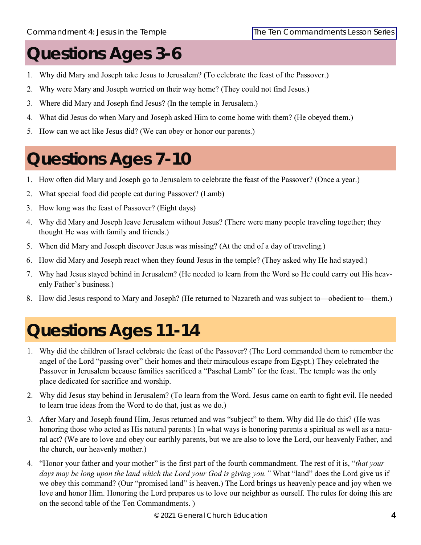## **Questions Ages 3-6**

- 1. Why did Mary and Joseph take Jesus to Jerusalem? (To celebrate the feast of the Passover.)
- 2. Why were Mary and Joseph worried on their way home? (They could not find Jesus.)
- 3. Where did Mary and Joseph find Jesus? (In the temple in Jerusalem.)
- 4. What did Jesus do when Mary and Joseph asked Him to come home with them? (He obeyed them.)
- 5. How can we act like Jesus did? (We can obey or honor our parents.)

## **Questions Ages 7-10**

- 1. How often did Mary and Joseph go to Jerusalem to celebrate the feast of the Passover? (Once a year.)
- 2. What special food did people eat during Passover? (Lamb)
- 3. How long was the feast of Passover? (Eight days)
- 4. Why did Mary and Joseph leave Jerusalem without Jesus? (There were many people traveling together; they thought He was with family and friends.)
- 5. When did Mary and Joseph discover Jesus was missing? (At the end of a day of traveling.)
- 6. How did Mary and Joseph react when they found Jesus in the temple? (They asked why He had stayed.)
- 7. Why had Jesus stayed behind in Jerusalem? (He needed to learn from the Word so He could carry out His heavenly Father's business.)
- 8. How did Jesus respond to Mary and Joseph? (He returned to Nazareth and was subject to—obedient to—them.)

# **Questions Ages 11-14**

- 1. Why did the children of Israel celebrate the feast of the Passover? (The Lord commanded them to remember the angel of the Lord "passing over" their homes and their miraculous escape from Egypt.) They celebrated the Passover in Jerusalem because families sacrificed a "Paschal Lamb" for the feast. The temple was the only place dedicated for sacrifice and worship.
- 2. Why did Jesus stay behind in Jerusalem? (To learn from the Word. Jesus came on earth to fight evil. He needed to learn true ideas from the Word to do that, just as we do.)
- 3. After Mary and Joseph found Him, Jesus returned and was "subject" to them. Why did He do this? (He was honoring those who acted as His natural parents.) In what ways is honoring parents a spiritual as well as a natural act? (We are to love and obey our earthly parents, but we are also to love the Lord, our heavenly Father, and the church, our heavenly mother.)
- 4. "Honor your father and your mother" is the first part of the fourth commandment. The rest of it is, "*that your*  days may be long upon the land which the Lord your God is giving you." What "land" does the Lord give us if we obey this command? (Our "promised land" is heaven.) The Lord brings us heavenly peace and joy when we love and honor Him. Honoring the Lord prepares us to love our neighbor as ourself. The rules for doing this are on the second table of the Ten Commandments. )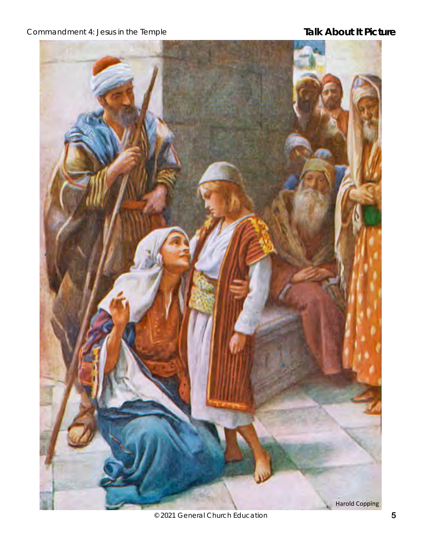Commandment 4: Jesus in the Temple **Talk About It Picture** 



© 2021 General Church Education **5**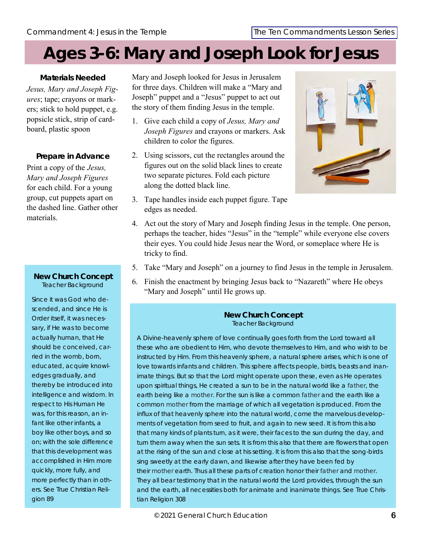## **Ages 3-6: Mary and Joseph Look for Jesus**

**Materials Needed** *Jesus, Mary and Joseph Figures*; tape; crayons or markers; stick to hold puppet, e.g. popsicle stick, strip of cardboard, plastic spoon

### **Prepare in Advance**

Print a copy of the *Jesus, Mary and Joseph Figures* for each child. For a young group, cut puppets apart on the dashed line. Gather other materials.

### **New Church Concept** Teacher Background

Since it was God who descended, and since He is Order itself, it was necessary, if He was to become actually human, that He should be conceived, carried in the womb, born, educated, acquire knowledges gradually, and thereby be introduced into intelligence and wisdom. In respect to His Human He was, for this reason, an infant like other infants, a boy like other boys, and so on; with the sole difference that this development was accomplished in Him more quickly, more fully, and more perfectly than in others. See *True Christian Religion* 89

Mary and Joseph looked for Jesus in Jerusalem for three days. Children will make a "Mary and Joseph" puppet and a "Jesus" puppet to act out the story of them finding Jesus in the temple.

- 1. Give each child a copy of *Jesus, Mary and Joseph Figures* and crayons or markers. Ask children to color the figures.
- 2. Using scissors, cut the rectangles around the figures out on the solid black lines to create two separate pictures. Fold each picture along the dotted black line.
- 3. Tape handles inside each puppet figure. Tape edges as needed.



- 4. Act out the story of Mary and Joseph finding Jesus in the temple. One person, perhaps the teacher, hides "Jesus" in the "temple" while everyone else covers their eyes. You could hide Jesus near the Word, or someplace where He is tricky to find.
- 5. Take "Mary and Joseph" on a journey to find Jesus in the temple in Jerusalem.
- 6. Finish the enactment by bringing Jesus back to "Nazareth" where He obeys "Mary and Joseph" until He grows up.

### **New Church Concept** Teacher Background

A Divine-heavenly sphere of love continually goes forth from the Lord toward all these who are obedient to Him, who devote themselves to Him, and who wish to be instructed by Him. From this heavenly sphere, a natural sphere arises, which is one of love towards infants and children. This sphere affects people, birds, beasts and inanimate things. But so that the Lord might operate upon these, even as He operates upon spiritual things, He created a sun to be in the natural world like a father, the earth being like a mother. For the sun is like a common father and the earth like a common mother from the marriage of which all vegetation is produced. From the influx of that heavenly sphere into the natural world, come the marvelous developments of vegetation from seed to fruit, and again to new seed. It is from this also that many kinds of plants turn, as it were, their faces to the sun during the day, and turn them away when the sun sets. It is from this also that there are flowers that open at the rising of the sun and close at his setting. It is from this also that the song-birds sing sweetly at the early dawn, and likewise after they have been fed by their mother earth. Thus all these parts of creation honor their father and mother. They all bear testimony that in the natural world the Lord provides, through the sun and the earth, all necessities both for animate and inanimate things. See *True Christian Religion* 308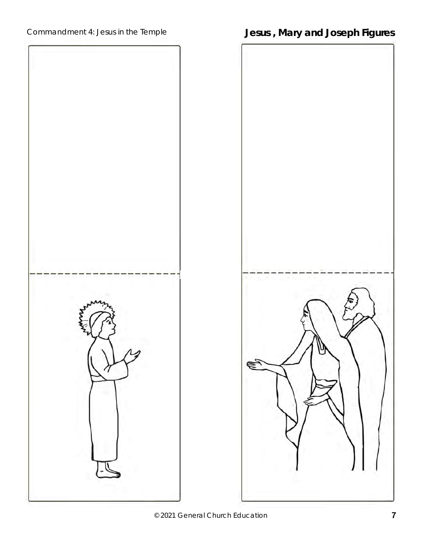Commandment 4: Jesus in the Temple **Jesus , Mary and Joseph Figures**



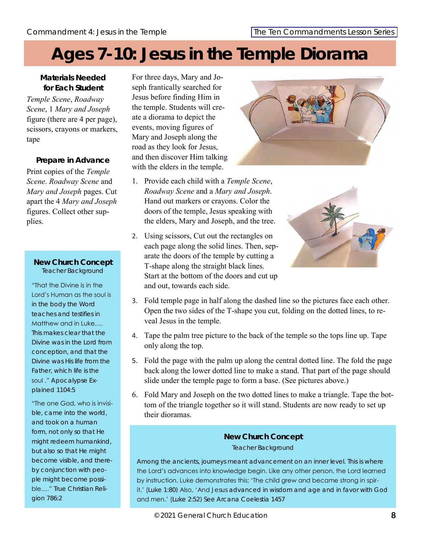## **Ages 7-10: Jesus in the Temple Diorama**

**Materials Needed for Each Student** *Temple Scene*, *Roadway Scene*, 1 *Mary and Joseph*  figure (there are 4 per page), scissors, crayons or markers, tape

**Prepare in Advance** Print copies of the *Temple Scene*. *Roadway Scene* and *Mary and Joseph* pages. Cut apart the 4 *Mary and Joseph*  figures. Collect other supplies.

### **New Church Concept** Teacher Background

"That the Divine is in the Lord's Human as the soul is in the body the Word teaches and testifies in Matthew and in Luke…. This makes clear that the Divine was in the Lord from conception, and that the Divine was His life from the Father, which life is the soul ." *Apocalypse Explained* 1104:5

"The one God, who is invisible, came into the world, and took on a human form, not only so that He might redeem humankind, but also so that He might become visible, and thereby conjunction with people might become possible…." *True Christian Religion* 786:2

For three days, Mary and Joseph frantically searched for Jesus before finding Him in the temple. Students will create a diorama to depict the events, moving figures of Mary and Joseph along the road as they look for Jesus, and then discover Him talking with the elders in the temple.

- 1. Provide each child with a *Temple Scene*, *Roadway Scene* and a *Mary and Joseph*. Hand out markers or crayons. Color the doors of the temple, Jesus speaking with the elders, Mary and Joseph, and the tree.
- 2. Using scissors, Cut out the rectangles on each page along the solid lines. Then, separate the doors of the temple by cutting a T-shape along the straight black lines. Start at the bottom of the doors and cut up and out, towards each side.





- 3. Fold temple page in half along the dashed line so the pictures face each other. Open the two sides of the T-shape you cut, folding on the dotted lines, to reveal Jesus in the temple.
- 4. Tape the palm tree picture to the back of the temple so the tops line up. Tape only along the top.
- 5. Fold the page with the palm up along the central dotted line. The fold the page back along the lower dotted line to make a stand. That part of the page should slide under the temple page to form a base. (See pictures above.)
- 6. Fold Mary and Joseph on the two dotted lines to make a triangle. Tape the bottom of the triangle together so it will stand. Students are now ready to set up their dioramas.

### **New Church Concept** Teacher Background

Among the ancients, journeys meant advancement on an inner level. This is where the Lord's advances into knowledge begin. Like any other person, the Lord learned by instruction. Luke demonstrates this: 'The child grew and became strong in spirit.' ([Luke 1:80\)](https://newchristianbiblestudy.org/multi/swedenborg_secrets-of-heaven-nce_1457/bible_king-james-version_luke_1_80) Also, 'And Jesus advanced in wisdom and age and in favor with God and men.' ([Luke 2:52\)](https://newchristianbiblestudy.org/multi/swedenborg_secrets-of-heaven-nce_1457/bible_king-james-version_luke_2_46-47) See *Arcana Coelestia* 1457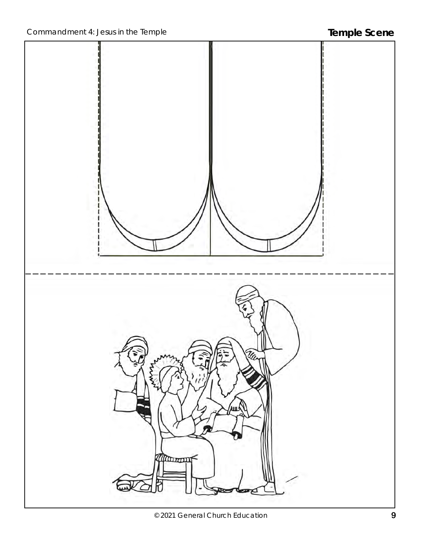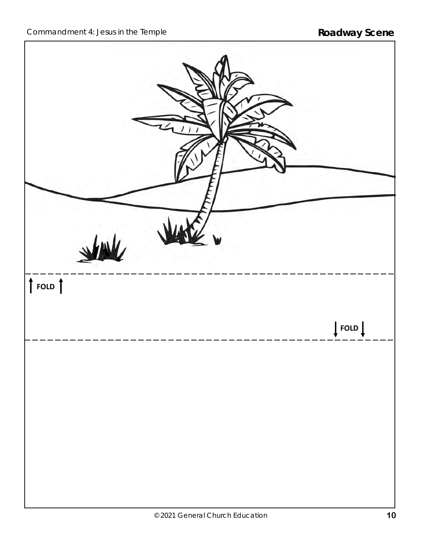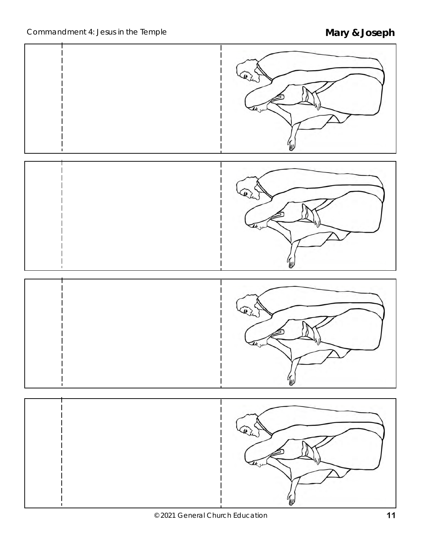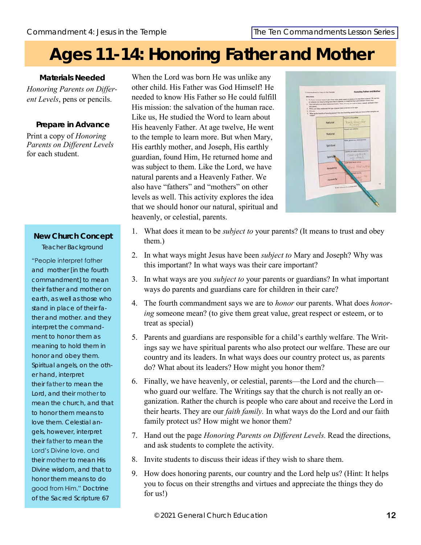## **Ages 11-14: Honoring Father and Mother**

**Materials Needed** *Honoring Parents on Different Levels*, pens or pencils.

**Prepare in Advance** Print a copy of *Honoring Parents on Different Levels*  for each student.

### **New Church Concept** Teacher Background

"People interpret father and mother [in the fourth commandment] to mean their father and mother on earth, as well as those who stand in place of their father and mother. and they interpret the commandment to honor them as meaning to hold them in honor and obey them. Spiritual angels, on the other hand, interpret their father to mean the Lord, and their mother to mean the church, and that to honor them means to love them. Celestial angels, however, interpret their father to mean the Lord's Divine love, and their mother to mean His Divine wisdom, and that to honor them means to do good from Him." *Doctrine of the Sacred Scripture* 67

When the Lord was born He was unlike any other child. His Father was God Himself! He needed to know His Father so He could fulfill His mission: the salvation of the human race. Like us, He studied the Word to learn about His heavenly Father. At age twelve, He went to the temple to learn more. But when Mary, His earthly mother, and Joseph, His earthly guardian, found Him, He returned home and was subject to them. Like the Lord, we have natural parents and a Heavenly Father. We also have "fathers" and "mothers" on other levels as well. This activity explores the idea that we should honor our natural, spiritual and heavenly, or celestial, parents.



- 1. What does it mean to be *subject to* your parents? (It means to trust and obey them.)
- 2. In what ways might Jesus have been *subject to* Mary and Joseph? Why was this important? In what ways was their care important?
- 3. In what ways are you *subject to* your parents or guardians? In what important ways do parents and guardians care for children in their care?
- 4. The fourth commandment says we are to *honor* our parents. What does *honoring* someone mean? (to give them great value, great respect or esteem, or to treat as special)
- 5. Parents and guardians are responsible for a child's earthly welfare. The Writings say we have spiritual parents who also protect our welfare. These are our country and its leaders. In what ways does our country protect us, as parents do? What about its leaders? How might you honor them?
- 6. Finally, we have heavenly, or celestial, parents—the Lord and the church who guard our welfare. The Writings say that the church is not really an organization. Rather the church is people who care about and receive the Lord in their hearts. They are our *faith family.* In what ways do the Lord and our faith family protect us? How might we honor them?
- 7. Hand out the page *Honoring Parents on Different Levels.* Read the directions, and ask students to complete the activity.
- 8. Invite students to discuss their ideas if they wish to share them.
- 9. How does honoring parents, our country and the Lord help us? (Hint: It helps you to focus on their strengths and virtues and appreciate the things they do for us!)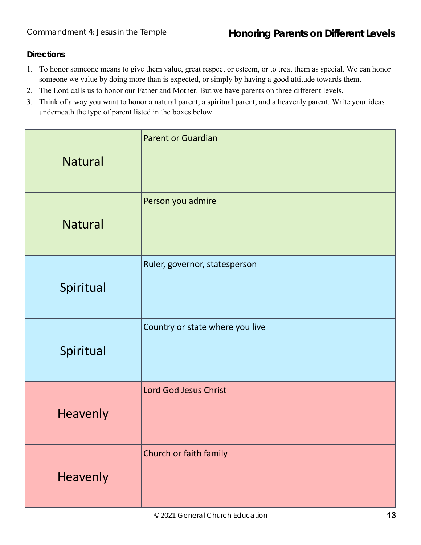**Directions**

- 1. To honor someone means to give them value, great respect or esteem, or to treat them as special. We can honor someone we value by doing more than is expected, or simply by having a good attitude towards them.
- 2. The Lord calls us to honor our Father and Mother. But we have parents on three different levels.
- 3. Think of a way you want to honor a natural parent, a spiritual parent, and a heavenly parent. Write your ideas underneath the type of parent listed in the boxes below.

| <b>Natural</b> | <b>Parent or Guardian</b>       |
|----------------|---------------------------------|
| <b>Natural</b> | Person you admire               |
| Spiritual      | Ruler, governor, statesperson   |
| Spiritual      | Country or state where you live |
| Heavenly       | Lord God Jesus Christ           |
| Heavenly       | Church or faith family          |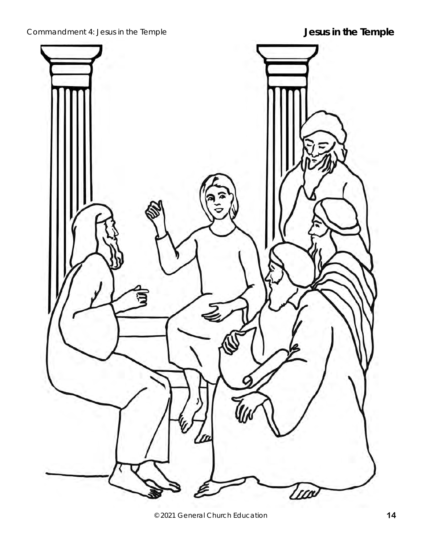